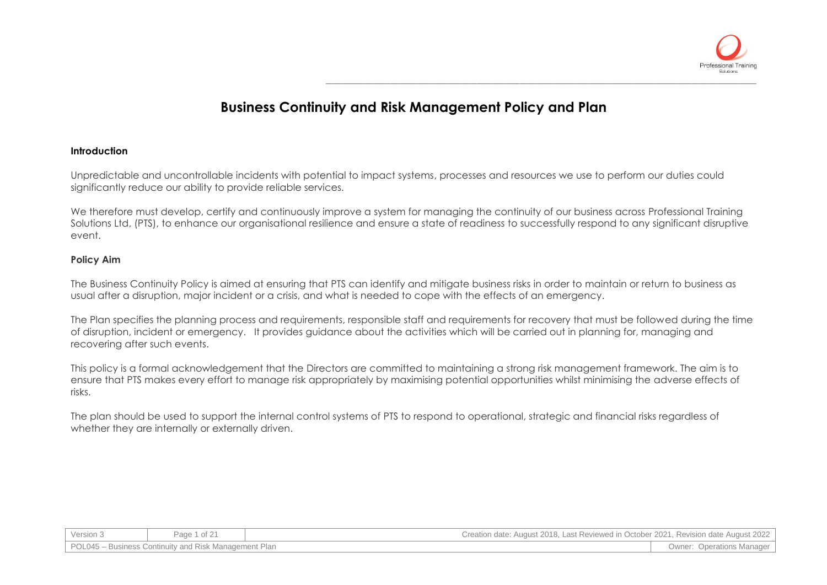

# **Business Continuity and Risk Management Policy and Plan**

#### **Introduction**

Unpredictable and uncontrollable incidents with potential to impact systems, processes and resources we use to perform our duties could significantly reduce our ability to provide reliable services.

We therefore must develop, certify and continuously improve a system for managing the continuity of our business across Professional Training Solutions Ltd, (PTS), to enhance our organisational resilience and ensure a state of readiness to successfully respond to any significant disruptive event.

### **Policy Aim**

The Business Continuity Policy is aimed at ensuring that PTS can identify and mitigate business risks in order to maintain or return to business as usual after a disruption, major incident or a crisis, and what is needed to cope with the effects of an emergency.

The Plan specifies the planning process and requirements, responsible staff and requirements for recovery that must be followed during the time of disruption, incident or emergency. It provides guidance about the activities which will be carried out in planning for, managing and recovering after such events.

This policy is a formal acknowledgement that the Directors are committed to maintaining a strong risk management framework. The aim is to ensure that PTS makes every effort to manage risk appropriately by maximising potential opportunities whilst minimising the adverse effects of risks.

The plan should be used to support the internal control systems of PTS to respond to operational, strategic and financial risks regardless of whether they are internally or externally driven.

| Version 3                                             | $\sim$ f 21<br>Page<br>$UL \leq$ | Creation date: August 2018, Last Reviewed in October 2021, Revision date August 2022 |                              |
|-------------------------------------------------------|----------------------------------|--------------------------------------------------------------------------------------|------------------------------|
| POL045 – Business Continuity and Risk Management Plan |                                  |                                                                                      | Operations Manager<br>Owner: |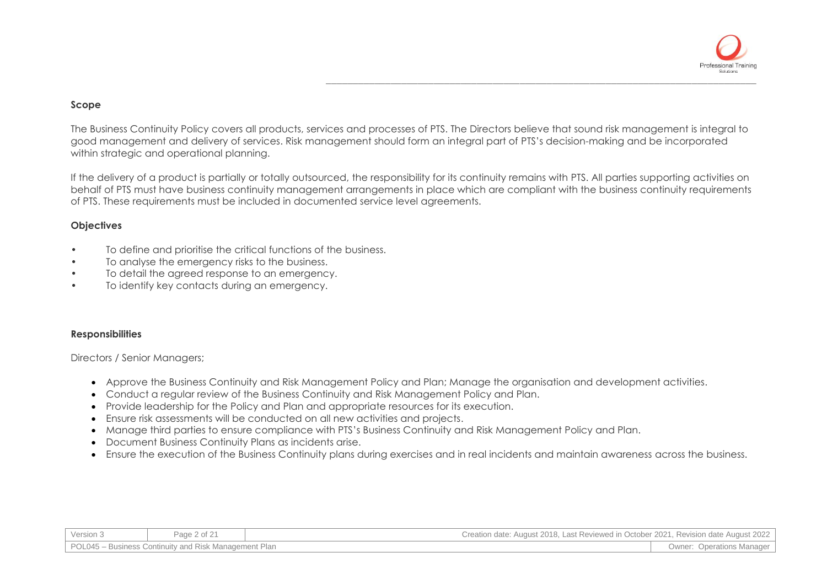

#### **Scope**

The Business Continuity Policy covers all products, services and processes of PTS. The Directors believe that sound risk management is integral to good management and delivery of services. Risk management should form an integral part of PTS's decision-making and be incorporated within strategic and operational planning.

If the delivery of a product is partially or totally outsourced, the responsibility for its continuity remains with PTS. All parties supporting activities on behalf of PTS must have business continuity management arrangements in place which are compliant with the business continuity requirements of PTS. These requirements must be included in documented service level agreements.

#### **Objectives**

- To define and prioritise the critical functions of the business.
- To analyse the emergency risks to the business.
- To detail the agreed response to an emergency.
- To identify key contacts during an emergency.

#### **Responsibilities**

Directors / Senior Managers;

- Approve the Business Continuity and Risk Management Policy and Plan; Manage the organisation and development activities.
- Conduct a regular review of the Business Continuity and Risk Management Policy and Plan.
- Provide leadership for the Policy and Plan and appropriate resources for its execution.
- Ensure risk assessments will be conducted on all new activities and projects.
- Manage third parties to ensure compliance with PTS's Business Continuity and Risk Management Policy and Plan.
- Document Business Continuity Plans as incidents arise.
- Ensure the execution of the Business Continuity plans during exercises and in real incidents and maintain awareness across the business.

| Version 3                                             | Page 2 of 21 | Creation date: August 2018, Last Reviewed in October 2021, Revision date August 2022 |                                  |
|-------------------------------------------------------|--------------|--------------------------------------------------------------------------------------|----------------------------------|
| POL045 – Business Continuity and Risk Management Plan |              |                                                                                      | <b>Owner: Operations Manager</b> |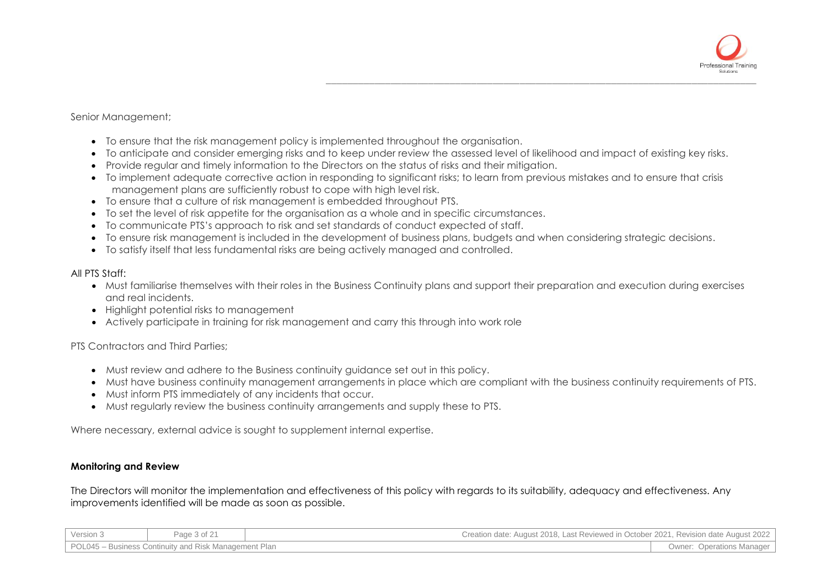

#### Senior Management;

- To ensure that the risk management policy is implemented throughout the organisation.
- To anticipate and consider emerging risks and to keep under review the assessed level of likelihood and impact of existing key risks.
- Provide regular and timely information to the Directors on the status of risks and their mitigation.
- To implement adequate corrective action in responding to significant risks; to learn from previous mistakes and to ensure that crisis management plans are sufficiently robust to cope with high level risk.
- To ensure that a culture of risk management is embedded throughout PTS.
- To set the level of risk appetite for the organisation as a whole and in specific circumstances.
- To communicate PTS's approach to risk and set standards of conduct expected of staff.
- To ensure risk management is included in the development of business plans, budgets and when considering strategic decisions.
- To satisfy itself that less fundamental risks are being actively managed and controlled.

#### All PTS Staff:

- Must familiarise themselves with their roles in the Business Continuity plans and support their preparation and execution during exercises and real incidents.
- Highlight potential risks to management
- Actively participate in training for risk management and carry this through into work role

### PTS Contractors and Third Parties;

- Must review and adhere to the Business continuity guidance set out in this policy.
- Must have business continuity management arrangements in place which are compliant with the business continuity requirements of PTS.
- Must inform PTS immediately of any incidents that occur.
- Must regularly review the business continuity arrangements and supply these to PTS.

Where necessary, external advice is sought to supplement internal expertise.

### **Monitoring and Review**

The Directors will monitor the implementation and effectiveness of this policy with regards to its suitability, adequacy and effectiveness. Any improvements identified will be made as soon as possible.

| Version 3                                             | Page 3 of 21 | Creation date: August 2018, Last Reviewed in October 2021, Revision date August 2022 |                                     |
|-------------------------------------------------------|--------------|--------------------------------------------------------------------------------------|-------------------------------------|
| POL045 – Business Continuity and Risk Management Plan |              |                                                                                      | <b>Operations Manager</b><br>Owner: |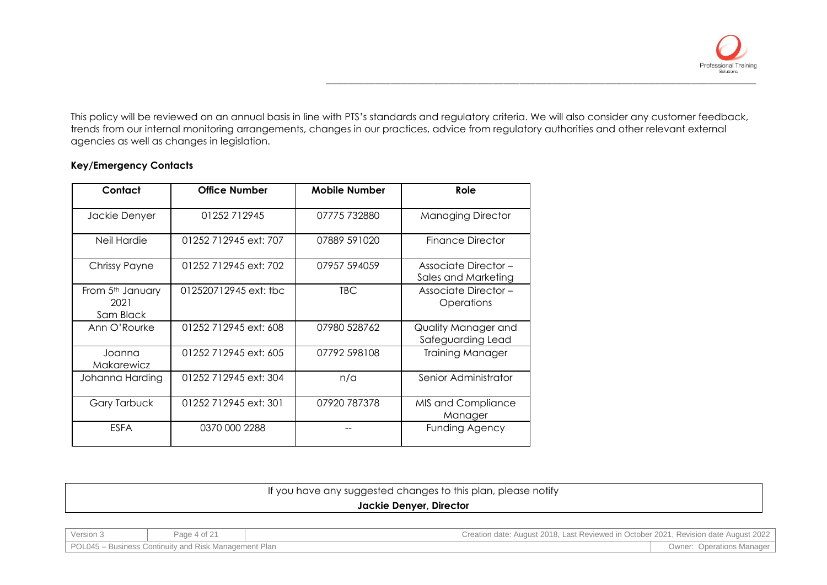

This policy will be reviewed on an annual basis in line with PTS's standards and regulatory criteria. We will also consider any customer feedback, trends from our internal monitoring arrangements, changes in our practices, advice from regulatory authorities and other relevant external agencies as well as changes in legislation.

### **Key/Emergency Contacts**

| Contact                                           | <b>Office Number</b>  | <b>Mobile Number</b> | Role                                               |
|---------------------------------------------------|-----------------------|----------------------|----------------------------------------------------|
| Jackie Denyer                                     | 01252712945           | 07775 732880         | <b>Managing Director</b>                           |
| Neil Hardie                                       | 01252 712945 ext: 707 | 07889 591020         | <b>Finance Director</b>                            |
| Chrissy Payne                                     | 01252 712945 ext: 702 | 07957 594059         | <b>Associate Director -</b><br>Sales and Marketing |
| From 5 <sup>th</sup> January<br>2021<br>Sam Black | 012520712945 ext: tbc | TBC.                 | <b>Associate Director -</b><br>Operations          |
| Ann O'Rourke                                      | 01252 712945 ext: 608 | 07980 528762         | Quality Manager and<br>Safeguarding Lead           |
| Joanna<br>Makarewicz                              | 01252 712945 ext: 605 | 07792 598108         | <b>Training Manager</b>                            |
| Johanna Harding                                   | 01252 712945 ext: 304 | n/a                  | Senior Administrator                               |
| <b>Gary Tarbuck</b>                               | 01252 712945 ext: 301 | 07920 787378         | MIS and Compliance<br>Manager                      |
| <b>ESFA</b>                                       | 0370 000 2288         |                      | <b>Funding Agency</b>                              |

| If you have any suggested changes to this plan, please notify |  |
|---------------------------------------------------------------|--|
| Jackie Denyer, Director                                       |  |

Version 3 Page 4 of 21 Creation date: August 2018, Last Reviewed in October 2021, Revision date August 2022 POL045 – Business Continuity and Risk Management Plan **Contract Contract Contract Contract Contract Continuity and Risk Management Plan**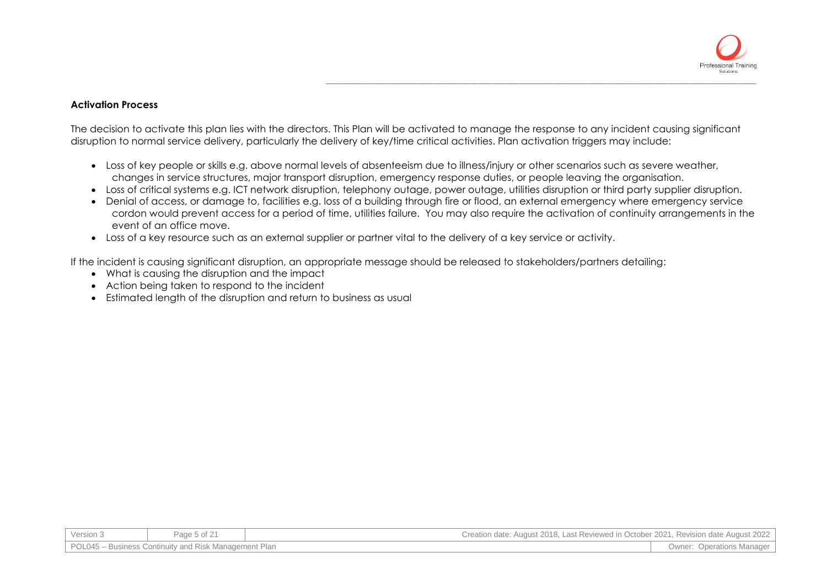

#### **Activation Process**

The decision to activate this plan lies with the directors. This Plan will be activated to manage the response to any incident causing significant disruption to normal service delivery, particularly the delivery of key/time critical activities. Plan activation triggers may include:

- Loss of key people or skills e.g. above normal levels of absenteeism due to illness/injury or other scenarios such as severe weather, changes in service structures, major transport disruption, emergency response duties, or people leaving the organisation.
- Loss of critical systems e.g. ICT network disruption, telephony outage, power outage, utilities disruption or third party supplier disruption.
- Denial of access, or damage to, facilities e.g. loss of a building through fire or flood, an external emergency where emergency service cordon would prevent access for a period of time, utilities failure. You may also require the activation of continuity arrangements in the event of an office move.
- Loss of a key resource such as an external supplier or partner vital to the delivery of a key service or activity.

If the incident is causing significant disruption, an appropriate message should be released to stakeholders/partners detailing:

- What is causing the disruption and the impact
- Action being taken to respond to the incident
- Estimated length of the disruption and return to business as usual

| Version 3                                             | Page 5 of 21 | Creation date: August 2018, Last Reviewed in October 2021, Revision date August 2022 |                                  |
|-------------------------------------------------------|--------------|--------------------------------------------------------------------------------------|----------------------------------|
| POL045 – Business Continuity and Risk Management Plan |              |                                                                                      | <b>Owner: Operations Manager</b> |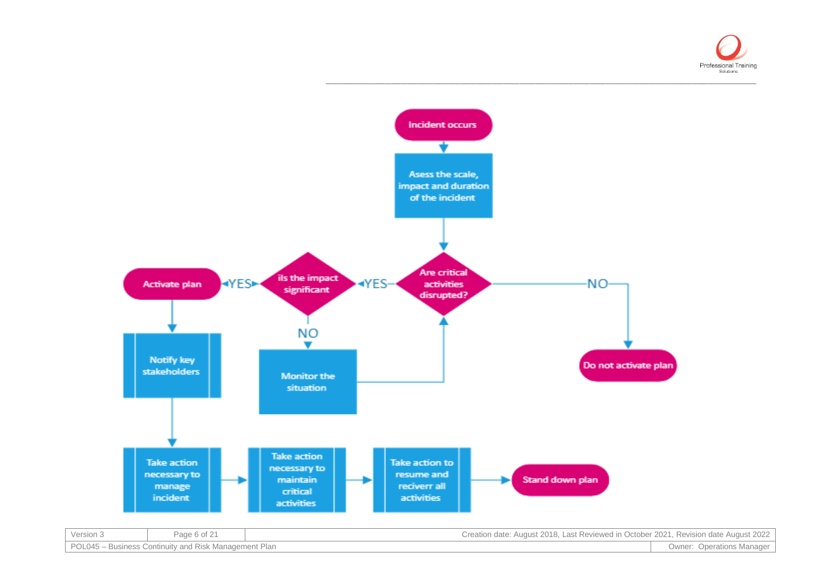

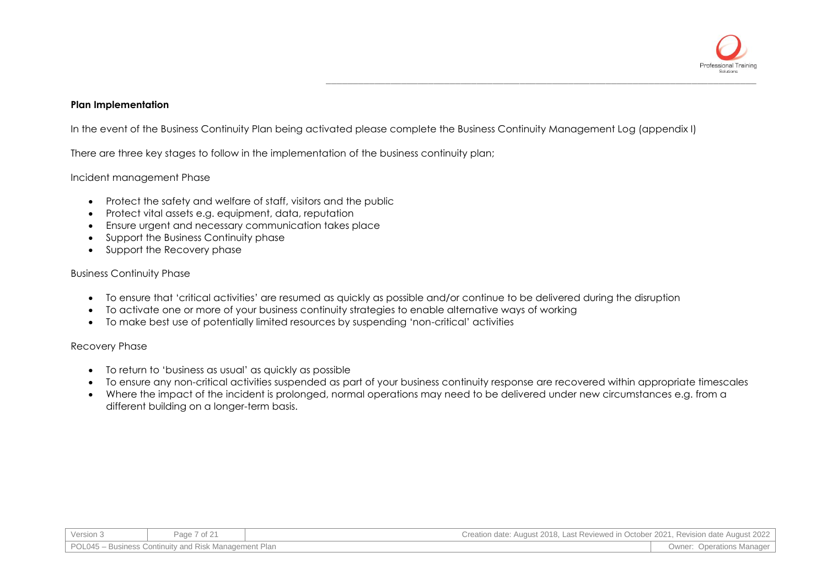

### **Plan Implementation**

In the event of the Business Continuity Plan being activated please complete the Business Continuity Management Log (appendix I)

There are three key stages to follow in the implementation of the business continuity plan;

#### Incident management Phase

- Protect the safety and welfare of staff, visitors and the public
- Protect vital assets e.g. equipment, data, reputation
- Ensure urgent and necessary communication takes place
- Support the Business Continuity phase
- Support the Recovery phase

#### Business Continuity Phase

- To ensure that 'critical activities' are resumed as quickly as possible and/or continue to be delivered during the disruption
- To activate one or more of your business continuity strategies to enable alternative ways of working
- To make best use of potentially limited resources by suspending 'non-critical' activities

#### Recovery Phase

- To return to 'business as usual' as quickly as possible
- To ensure any non-critical activities suspended as part of your business continuity response are recovered within appropriate timescales
- Where the impact of the incident is prolonged, normal operations may need to be delivered under new circumstances e.g. from a different building on a longer-term basis.

| Version 3                                             | Page 7 of 21 | Creation date: August 2018, Last Reviewed in October 2021, Revision date August 2022 |                                  |
|-------------------------------------------------------|--------------|--------------------------------------------------------------------------------------|----------------------------------|
| POL045 - Business Continuity and Risk Management Plan |              |                                                                                      | <b>Owner: Operations Manager</b> |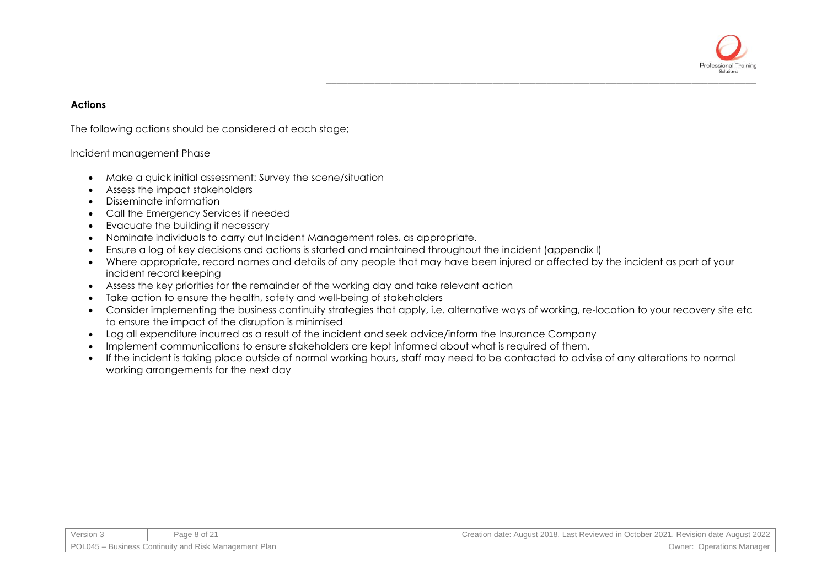

#### **Actions**

The following actions should be considered at each stage;

#### Incident management Phase

- Make a quick initial assessment: Survey the scene/situation
- Assess the impact stakeholders
- Disseminate information
- Call the Emergency Services if needed
- Evacuate the building if necessary
- Nominate individuals to carry out Incident Management roles, as appropriate.
- Ensure a log of key decisions and actions is started and maintained throughout the incident (appendix I)
- Where appropriate, record names and details of any people that may have been injured or affected by the incident as part of your incident record keeping
- Assess the key priorities for the remainder of the working day and take relevant action
- Take action to ensure the health, safety and well-being of stakeholders
- Consider implementing the business continuity strategies that apply, i.e. alternative ways of working, re-location to your recovery site etc to ensure the impact of the disruption is minimised
- Log all expenditure incurred as a result of the incident and seek advice/inform the Insurance Company
- Implement communications to ensure stakeholders are kept informed about what is required of them.
- If the incident is taking place outside of normal working hours, staff may need to be contacted to advise of any alterations to normal working arrangements for the next day

| Version : | Page 8 of $24$                                        | Creation date: August 2018, Last Reviewed in October 2021, Revision date August 2022 |                                  |
|-----------|-------------------------------------------------------|--------------------------------------------------------------------------------------|----------------------------------|
|           | POL045 – Business Continuity and Risk Management Plan |                                                                                      | <b>Owner: Operations Manager</b> |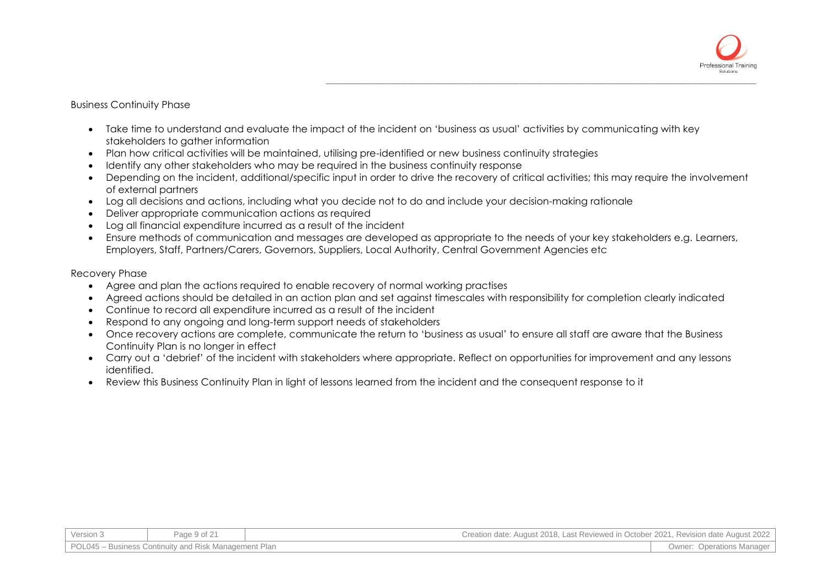

#### Business Continuity Phase

- Take time to understand and evaluate the impact of the incident on 'business as usual' activities by communicating with key stakeholders to gather information
- Plan how critical activities will be maintained, utilising pre-identified or new business continuity strategies
- Identify any other stakeholders who may be required in the business continuity response
- Depending on the incident, additional/specific input in order to drive the recovery of critical activities; this may require the involvement of external partners
- Log all decisions and actions, including what you decide not to do and include your decision-making rationale
- Deliver appropriate communication actions as required
- Log all financial expenditure incurred as a result of the incident
- Ensure methods of communication and messages are developed as appropriate to the needs of your key stakeholders e.g. Learners, Employers, Staff, Partners/Carers, Governors, Suppliers, Local Authority, Central Government Agencies etc

#### Recovery Phase

- Agree and plan the actions required to enable recovery of normal working practises
- Agreed actions should be detailed in an action plan and set against timescales with responsibility for completion clearly indicated
- Continue to record all expenditure incurred as a result of the incident
- Respond to any ongoing and long-term support needs of stakeholders
- Once recovery actions are complete, communicate the return to 'business as usual' to ensure all staff are aware that the Business Continuity Plan is no longer in effect
- Carry out a 'debrief' of the incident with stakeholders where appropriate. Reflect on opportunities for improvement and any lessons identified.
- Review this Business Continuity Plan in light of lessons learned from the incident and the consequent response to it

| Version 3                                             | Page 9 of 2 <sup>4</sup> | Creation date: August 2018. Last Reviewed in October 2021. Revision date August 2022 |                                     |
|-------------------------------------------------------|--------------------------|--------------------------------------------------------------------------------------|-------------------------------------|
| POL045 - Business Continuity and Risk Management Plan |                          |                                                                                      | Owner:<br><b>Operations Manager</b> |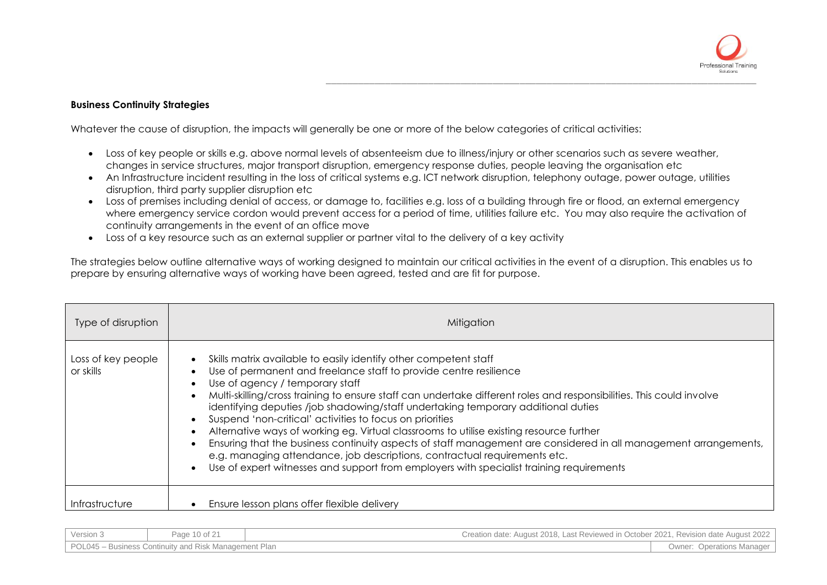

### **Business Continuity Strategies**

Whatever the cause of disruption, the impacts will generally be one or more of the below categories of critical activities:

- Loss of key people or skills e.g. above normal levels of absenteeism due to illness/injury or other scenarios such as severe weather, changes in service structures, major transport disruption, emergency response duties, people leaving the organisation etc
- An Infrastructure incident resulting in the loss of critical systems e.g. ICT network disruption, telephony outage, power outage, utilities disruption, third party supplier disruption etc
- Loss of premises including denial of access, or damage to, facilities e.g. loss of a building through fire or flood, an external emergency where emergency service cordon would prevent access for a period of time, utilities failure etc. You may also require the activation of continuity arrangements in the event of an office move
- Loss of a key resource such as an external supplier or partner vital to the delivery of a key activity

The strategies below outline alternative ways of working designed to maintain our critical activities in the event of a disruption. This enables us to prepare by ensuring alternative ways of working have been agreed, tested and are fit for purpose.

| Type of disruption              | Mitigation                                                                                                                                                                                                                                                                                                                                                                                                                                                                                                                                                                                                                                                                                                                                                                                                                                                                                                                                        |
|---------------------------------|---------------------------------------------------------------------------------------------------------------------------------------------------------------------------------------------------------------------------------------------------------------------------------------------------------------------------------------------------------------------------------------------------------------------------------------------------------------------------------------------------------------------------------------------------------------------------------------------------------------------------------------------------------------------------------------------------------------------------------------------------------------------------------------------------------------------------------------------------------------------------------------------------------------------------------------------------|
| Loss of key people<br>or skills | Skills matrix available to easily identify other competent staff<br>$\bullet$<br>Use of permanent and freelance staff to provide centre resilience<br>$\bullet$<br>Use of agency / temporary staff<br>$\bullet$<br>Multi-skilling/cross training to ensure staff can undertake different roles and responsibilities. This could involve<br>$\bullet$<br>identifying deputies /job shadowing/staff undertaking temporary additional duties<br>Suspend 'non-critical' activities to focus on priorities<br>$\bullet$<br>Alternative ways of working eg. Virtual classrooms to utilise existing resource further<br>$\bullet$<br>Ensuring that the business continuity aspects of staff management are considered in all management arrangements,<br>$\bullet$<br>e.g. managing attendance, job descriptions, contractual requirements etc.<br>Use of expert witnesses and support from employers with specialist training requirements<br>$\bullet$ |
| Infrastructure                  | Ensure lesson plans offer flexible delivery                                                                                                                                                                                                                                                                                                                                                                                                                                                                                                                                                                                                                                                                                                                                                                                                                                                                                                       |

| Version 3                                             | Page 10 of 21 | Creation date: August 2018, Last Reviewed in October 2021, Revision date August 2022 |                                  |
|-------------------------------------------------------|---------------|--------------------------------------------------------------------------------------|----------------------------------|
| POL045 - Business Continuity and Risk Management Plan |               |                                                                                      | <b>Owner: Operations Manager</b> |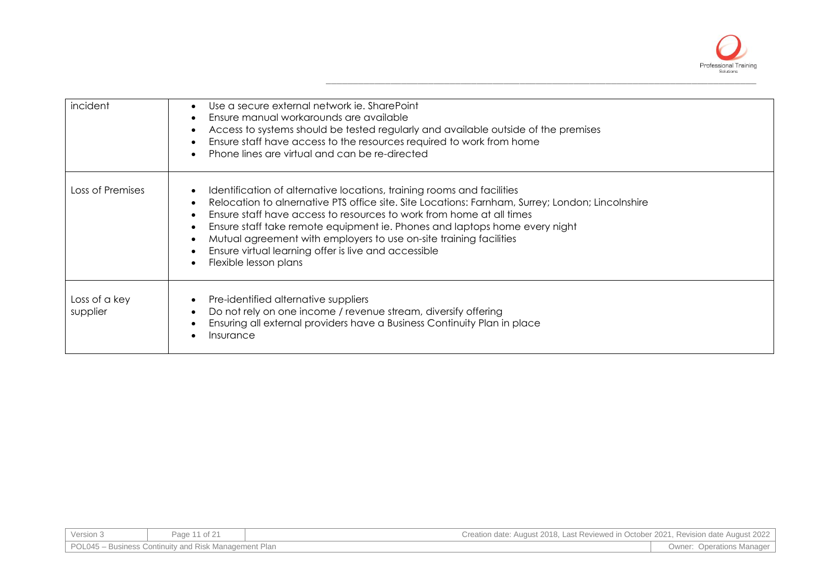

| incident                  | Use a secure external network ie. SharePoint<br>$\bullet$<br>Ensure manual workarounds are available<br>$\bullet$<br>Access to systems should be tested regularly and available outside of the premises<br>$\bullet$<br>Ensure staff have access to the resources required to work from home<br>$\bullet$<br>Phone lines are virtual and can be re-directed<br>$\bullet$                                                                                                                                                                                 |
|---------------------------|----------------------------------------------------------------------------------------------------------------------------------------------------------------------------------------------------------------------------------------------------------------------------------------------------------------------------------------------------------------------------------------------------------------------------------------------------------------------------------------------------------------------------------------------------------|
| Loss of Premises          | Identification of alternative locations, training rooms and facilities<br>$\bullet$<br>Relocation to alnernative PTS office site. Site Locations: Farnham, Surrey; London; Lincolnshire<br>$\bullet$<br>Ensure staff have access to resources to work from home at all times<br>$\bullet$<br>Ensure staff take remote equipment ie. Phones and laptops home every night<br>$\bullet$<br>Mutual agreement with employers to use on-site training facilities<br>$\bullet$<br>Ensure virtual learning offer is live and accessible<br>Flexible lesson plans |
| Loss of a key<br>supplier | Pre-identified alternative suppliers<br>$\bullet$<br>Do not rely on one income / revenue stream, diversify offering<br>$\bullet$<br>Ensuring all external providers have a Business Continuity Plan in place<br>$\bullet$<br>Insurance                                                                                                                                                                                                                                                                                                                   |

| Version 3 | Page 11 of 21                                         | Creation date: August 2018, Last Reviewed in October 2021, Revision date August 2022 |                                  |
|-----------|-------------------------------------------------------|--------------------------------------------------------------------------------------|----------------------------------|
|           | POL045 – Business Continuity and Risk Management Plan |                                                                                      | <b>Owner: Operations Manager</b> |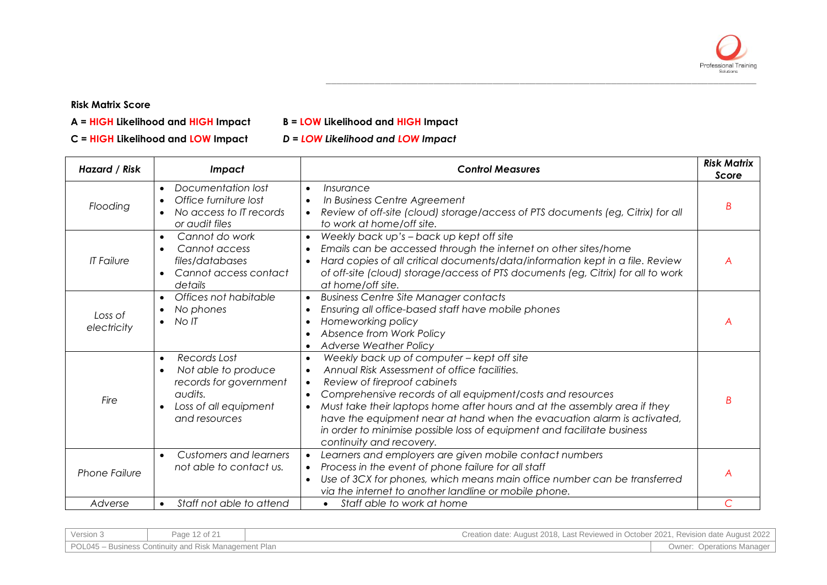

## **Risk Matrix Score**

- **A = HIGH Likelihood and HIGH Impact B = LOW Likelihood and HIGH Impact**
- **C = HIGH Likelihood and LOW Impact** *D = LOW Likelihood and LOW Impact*

| Hazard / Risk          | <b>Impact</b>                                                                                                                                             | <b>Control Measures</b>                                                                                                                                                                                                                                                                                                                                                                                                                                                                                                  | <b>Risk Matrix</b><br>Score |
|------------------------|-----------------------------------------------------------------------------------------------------------------------------------------------------------|--------------------------------------------------------------------------------------------------------------------------------------------------------------------------------------------------------------------------------------------------------------------------------------------------------------------------------------------------------------------------------------------------------------------------------------------------------------------------------------------------------------------------|-----------------------------|
| Flooding               | Documentation lost<br>$\bullet$<br>Office furniture lost<br>$\bullet$<br>No access to IT records<br>$\bullet$<br>or audit files                           | Insurance<br>$\bullet$<br>In Business Centre Agreement<br>$\bullet$<br>Review of off-site (cloud) storage/access of PTS documents (eg, Citrix) for all<br>$\bullet$<br>to work at home/off site.                                                                                                                                                                                                                                                                                                                         | B                           |
| <b>IT Failure</b>      | Cannot do work<br>$\bullet$<br>Cannot access<br>$\bullet$<br>files/databases<br>Cannot access contact<br>$\bullet$<br>details                             | Weekly back up's - back up kept off site<br>$\bullet$<br>Emails can be accessed through the internet on other sites/home<br>$\bullet$<br>Hard copies of all critical documents/data/information kept in a file. Review<br>of off-site (cloud) storage/access of PTS documents (eg, Citrix) for all to work<br>at home/off site.                                                                                                                                                                                          | A                           |
| Loss of<br>electricity | Offices not habitable<br>$\bullet$<br>No phones<br>$\bullet$<br>No IT<br>$\bullet$                                                                        | <b>Business Centre Site Manager contacts</b><br>$\bullet$<br>Ensuring all office-based staff have mobile phones<br>$\bullet$<br>Homeworking policy<br>Absence from Work Policy<br><b>Adverse Weather Policy</b>                                                                                                                                                                                                                                                                                                          | A                           |
| Fire                   | Records Lost<br>$\bullet$<br>Not able to produce<br>$\bullet$<br>records for government<br>audits.<br>Loss of all equipment<br>$\bullet$<br>and resources | Weekly back up of computer - kept off site<br>$\bullet$<br>Annual Risk Assessment of office facilities.<br>$\bullet$<br>Review of fireproof cabinets<br>$\bullet$<br>Comprehensive records of all equipment/costs and resources<br>$\bullet$<br>Must take their laptops home after hours and at the assembly area if they<br>$\bullet$<br>have the equipment near at hand when the evacuation alarm is activated,<br>in order to minimise possible loss of equipment and facilitate business<br>continuity and recovery. | B                           |
| <b>Phone Failure</b>   | <b>Customers and learners</b><br>$\bullet$<br>not able to contact us.                                                                                     | Learners and employers are given mobile contact numbers<br>$\bullet$<br>Process in the event of phone failure for all staff<br>Use of 3CX for phones, which means main office number can be transferred<br>$\bullet$<br>via the internet to another landline or mobile phone.                                                                                                                                                                                                                                            | A                           |
| Adverse                | Staff not able to attend<br>$\bullet$                                                                                                                     | Staff able to work at home<br>$\bullet$                                                                                                                                                                                                                                                                                                                                                                                                                                                                                  |                             |

| Version 3 | Page 12 of 21                                         | Creation date: August 2018, Last Reviewed in October 2021, Revision date August 2022 |
|-----------|-------------------------------------------------------|--------------------------------------------------------------------------------------|
|           | POL045 – Business Continuity and Risk Management Plan | <b>Owner: Operations Manager</b>                                                     |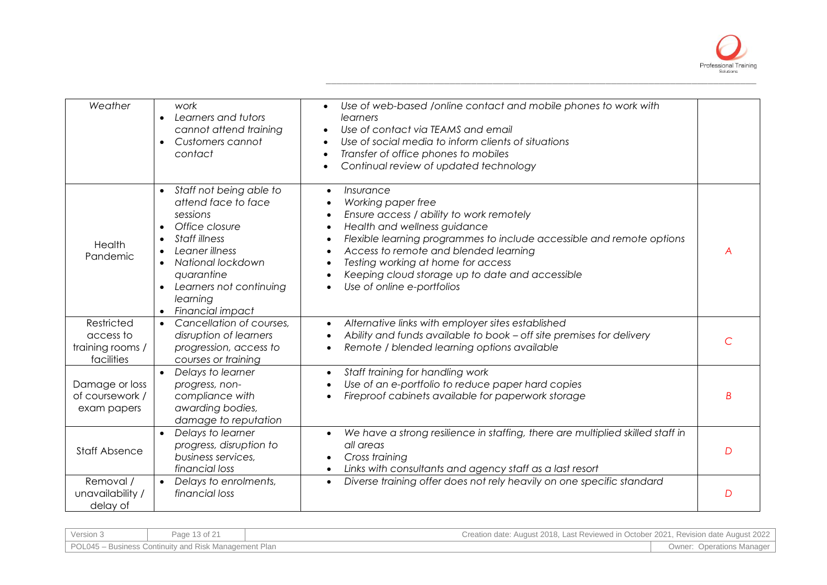

| Weather                                                   | work<br>Learners and tutors<br>$\bullet$<br>cannot attend training<br>Customers cannot<br>$\bullet$<br>contact                                                                                                                                                    | Use of web-based /online contact and mobile phones to work with<br>learners<br>Use of contact via TEAMS and email<br>Use of social media to inform clients of situations<br>Transfer of office phones to mobiles<br>Continual review of updated technology                                                                                                        |   |
|-----------------------------------------------------------|-------------------------------------------------------------------------------------------------------------------------------------------------------------------------------------------------------------------------------------------------------------------|-------------------------------------------------------------------------------------------------------------------------------------------------------------------------------------------------------------------------------------------------------------------------------------------------------------------------------------------------------------------|---|
| Health<br>Pandemic                                        | Staff not being able to<br>$\bullet$<br>attend face to face<br>sessions<br>Office closure<br>Staff illness<br>Leaner illness<br>National lockdown<br>$\bullet$<br>quarantine<br>Learners not continuing<br>$\bullet$<br>learning<br>Financial impact<br>$\bullet$ | Insurance<br>$\bullet$<br>Working paper free<br>Ensure access / ability to work remotely<br>Health and wellness guidance<br>Flexible learning programmes to include accessible and remote options<br>Access to remote and blended learning<br>Testing working at home for access<br>Keeping cloud storage up to date and accessible<br>Use of online e-portfolios | A |
| Restricted<br>access to<br>training rooms /<br>facilities | Cancellation of courses.<br>disruption of learners<br>progression, access to<br>courses or training                                                                                                                                                               | Alternative links with employer sites established<br>$\bullet$<br>Ability and funds available to book - off site premises for delivery<br>Remote / blended learning options available                                                                                                                                                                             |   |
| Damage or loss<br>of coursework /<br>exam papers          | $\bullet$<br>Delays to learner<br>progress, non-<br>compliance with<br>awarding bodies,<br>damage to reputation                                                                                                                                                   | Staff training for handling work<br>$\bullet$<br>Use of an e-portfolio to reduce paper hard copies<br>Fireproof cabinets available for paperwork storage                                                                                                                                                                                                          | B |
| <b>Staff Absence</b>                                      | Delays to learner<br>$\bullet$<br>progress, disruption to<br>business services,<br>financial loss                                                                                                                                                                 | We have a strong resilience in staffing, there are multiplied skilled staff in<br>$\bullet$<br>all areas<br>Cross training<br>Links with consultants and agency staff as a last resort                                                                                                                                                                            | D |
| Removal /<br>unavailability /<br>delay of                 | Delays to enrolments,<br>$\bullet$<br>financial loss                                                                                                                                                                                                              | Diverse training offer does not rely heavily on one specific standard<br>$\bullet$                                                                                                                                                                                                                                                                                | D |

| Version 3 | Page 13 of 21                                         | Creation date: August 2018, Last Reviewed in October 2021, Revision date August 2022 |                                  |
|-----------|-------------------------------------------------------|--------------------------------------------------------------------------------------|----------------------------------|
|           | POL045 – Business Continuity and Risk Management Plan |                                                                                      | <b>Owner: Operations Manager</b> |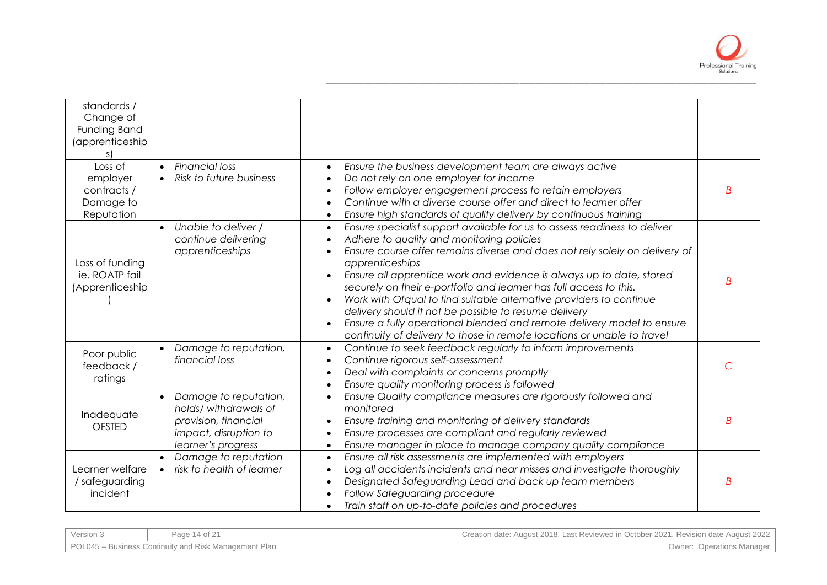

| standards /<br>Change of<br>Funding Band<br>(apprenticeship<br>Loss of | <b>Financial loss</b><br>$\bullet$                                                                                                 | Ensure the business development team are always active<br>$\bullet$                                                                                                                                                                                                                                                                                                                                                                                                                                                                                                                                                                                                                   |   |
|------------------------------------------------------------------------|------------------------------------------------------------------------------------------------------------------------------------|---------------------------------------------------------------------------------------------------------------------------------------------------------------------------------------------------------------------------------------------------------------------------------------------------------------------------------------------------------------------------------------------------------------------------------------------------------------------------------------------------------------------------------------------------------------------------------------------------------------------------------------------------------------------------------------|---|
| employer<br>contracts /<br>Damage to<br>Reputation                     | Risk to future business                                                                                                            | Do not rely on one employer for income<br>$\bullet$<br>Follow employer engagement process to retain employers<br>$\bullet$<br>Continue with a diverse course offer and direct to learner offer<br>$\bullet$<br>Ensure high standards of quality delivery by continuous training<br>$\bullet$                                                                                                                                                                                                                                                                                                                                                                                          | B |
| Loss of funding<br>ie. ROATP fail<br>(Apprenticeship                   | Unable to deliver /<br>$\bullet$<br>continue delivering<br>apprenticeships                                                         | Ensure specialist support available for us to assess readiness to deliver<br>$\bullet$<br>Adhere to quality and monitoring policies<br>Ensure course offer remains diverse and does not rely solely on delivery of<br>apprenticeships<br>Ensure all apprentice work and evidence is always up to date, stored<br>securely on their e-portfolio and learner has full access to this.<br>Work with Ofqual to find suitable alternative providers to continue<br>delivery should it not be possible to resume delivery<br>Ensure a fully operational blended and remote delivery model to ensure<br>$\bullet$<br>continuity of delivery to those in remote locations or unable to travel | B |
| Poor public<br>feedback/<br>ratings                                    | Damage to reputation,<br>$\bullet$<br>financial loss                                                                               | Continue to seek feedback regularly to inform improvements<br>$\bullet$<br>Continue rigorous self-assessment<br>$\bullet$<br>Deal with complaints or concerns promptly<br>$\bullet$<br>Ensure quality monitoring process is followed<br>$\bullet$                                                                                                                                                                                                                                                                                                                                                                                                                                     | C |
| Inadequate<br><b>OFSTED</b>                                            | Damage to reputation,<br>$\bullet$<br>holds/ withdrawals of<br>provision, financial<br>impact, disruption to<br>learner's progress | Ensure Quality compliance measures are rigorously followed and<br>$\bullet$<br>monitored<br>Ensure training and monitoring of delivery standards<br>$\bullet$<br>Ensure processes are compliant and regularly reviewed<br>$\bullet$<br>Ensure manager in place to manage company quality compliance<br>$\bullet$                                                                                                                                                                                                                                                                                                                                                                      | B |
| Learner welfare<br>/ safeguarding<br>incident                          | Damage to reputation<br>risk to health of learner                                                                                  | Ensure all risk assessments are implemented with employers<br>$\bullet$<br>Log all accidents incidents and near misses and investigate thoroughly<br>$\bullet$<br>Designated Safeguarding Lead and back up team members<br>$\bullet$<br>Follow Safeguarding procedure<br>Train staff on up-to-date policies and procedures<br>$\bullet$                                                                                                                                                                                                                                                                                                                                               | B |

| Version 3 | Page 14 of 21                                         | Creation date: August 2018, Last Reviewed in October 2021, Revision date August 2022 |                                  |
|-----------|-------------------------------------------------------|--------------------------------------------------------------------------------------|----------------------------------|
|           | POL045 – Business Continuity and Risk Management Plan |                                                                                      | <b>Owner: Operations Manager</b> |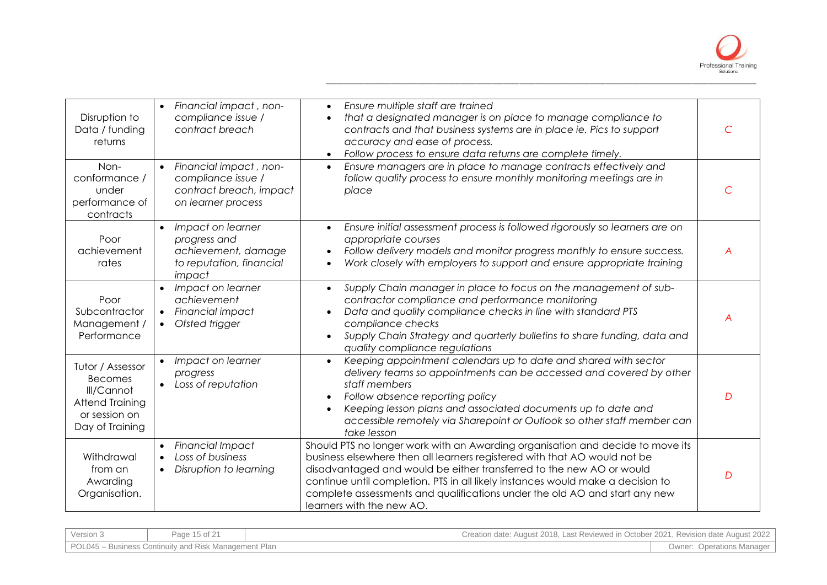

| Disruption to<br>Data / funding<br>returns                                                              | Financial impact, non-<br>$\bullet$<br>compliance issue /<br>contract breach                                  | Ensure multiple staff are trained<br>$\bullet$<br>that a designated manager is on place to manage compliance to<br>$\bullet$<br>contracts and that business systems are in place ie. Pics to support<br>accuracy and ease of process.<br>Follow process to ensure data returns are complete timely.                                                                                                                               |          |
|---------------------------------------------------------------------------------------------------------|---------------------------------------------------------------------------------------------------------------|-----------------------------------------------------------------------------------------------------------------------------------------------------------------------------------------------------------------------------------------------------------------------------------------------------------------------------------------------------------------------------------------------------------------------------------|----------|
| Non-<br>conformance /<br>under<br>performance of<br>contracts                                           | Financial impact, non-<br>$\bullet$<br>compliance issue /<br>contract breach, impact<br>on learner process    | Ensure managers are in place to manage contracts effectively and<br>$\bullet$<br>follow quality process to ensure monthly monitoring meetings are in<br>place                                                                                                                                                                                                                                                                     |          |
| Poor<br>achievement<br>rates                                                                            | Impact on learner<br>$\bullet$<br>progress and<br>achievement, damage<br>to reputation, financial<br>impact   | Ensure initial assessment process is followed rigorously so learners are on<br>$\bullet$<br>appropriate courses<br>Follow delivery models and monitor progress monthly to ensure success.<br>$\bullet$<br>Work closely with employers to support and ensure appropriate training<br>$\bullet$                                                                                                                                     | A        |
| Poor<br>Subcontractor<br>Management /<br>Performance                                                    | Impact on learner<br>$\bullet$<br>achievement<br>Financial impact<br>$\bullet$<br>Ofsted trigger<br>$\bullet$ | Supply Chain manager in place to focus on the management of sub-<br>$\bullet$<br>contractor compliance and performance monitoring<br>Data and quality compliance checks in line with standard PTS<br>$\bullet$<br>compliance checks<br>Supply Chain Strategy and quarterly bulletins to share funding, data and<br>$\bullet$<br>quality compliance regulations                                                                    |          |
| Tutor / Assessor<br><b>Becomes</b><br>Ill/Cannot<br>Attend Training<br>or session on<br>Day of Training | Impact on learner<br>$\bullet$<br>progress<br>Loss of reputation                                              | Keeping appointment calendars up to date and shared with sector<br>$\bullet$<br>delivery teams so appointments can be accessed and covered by other<br>staff members<br>Follow absence reporting policy<br>$\bullet$<br>Keeping lesson plans and associated documents up to date and<br>$\bullet$<br>accessible remotely via Sharepoint or Outlook so other staff member can<br>take lesson                                       | D        |
| Withdrawal<br>from an<br>Awarding<br>Organisation.                                                      | <b>Financial Impact</b><br>$\bullet$<br>Loss of business<br>$\bullet$<br>Disruption to learning<br>$\bullet$  | Should PTS no longer work with an Awarding organisation and decide to move its<br>business elsewhere then all learners registered with that AO would not be<br>disadvantaged and would be either transferred to the new AO or would<br>continue until completion. PTS in all likely instances would make a decision to<br>complete assessments and qualifications under the old AO and start any new<br>learners with the new AO. | $\Gamma$ |

| Version 3 | Page 15 of 21                                         | Creation date: August 2018, Last Reviewed in October 2021, Revision date August 2022 |                                  |
|-----------|-------------------------------------------------------|--------------------------------------------------------------------------------------|----------------------------------|
|           | POL045 – Business Continuity and Risk Management Plan |                                                                                      | <b>Owner: Operations Manager</b> |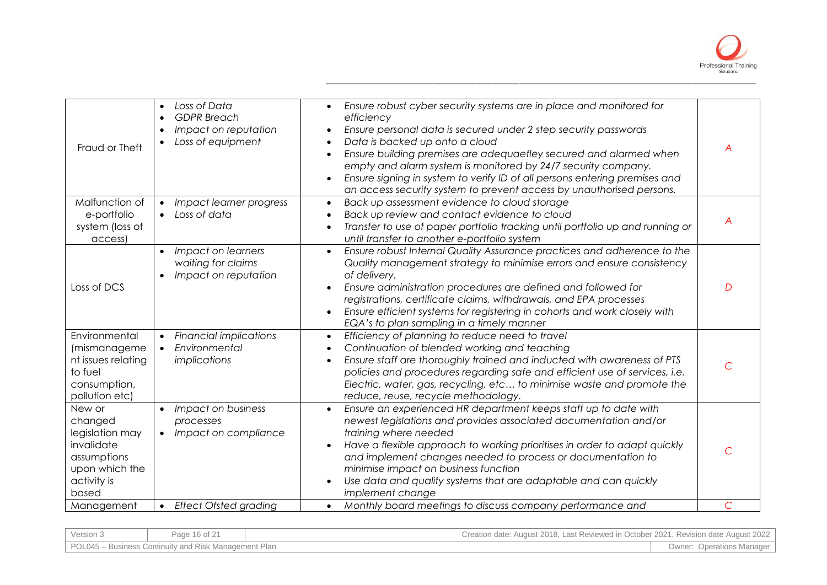

| Fraud or Theft                                                                                              | Loss of Data<br>$\bullet$<br><b>GDPR</b> Breach<br>$\bullet$<br>Impact on reputation<br>$\bullet$<br>Loss of equipment<br>$\bullet$ | Ensure robust cyber security systems are in place and monitored for<br>$\bullet$<br>efficiency<br>Ensure personal data is secured under 2 step security passwords<br>Data is backed up onto a cloud<br>$\bullet$<br>Ensure building premises are adequaetley secured and alarmed when<br>$\bullet$<br>empty and alarm system is monitored by 24/7 security company.<br>Ensure signing in system to verify ID of all persons entering premises and<br>$\bullet$<br>an access security system to prevent access by unauthorised persons. | A |
|-------------------------------------------------------------------------------------------------------------|-------------------------------------------------------------------------------------------------------------------------------------|----------------------------------------------------------------------------------------------------------------------------------------------------------------------------------------------------------------------------------------------------------------------------------------------------------------------------------------------------------------------------------------------------------------------------------------------------------------------------------------------------------------------------------------|---|
| Malfunction of<br>e-portfolio<br>system (loss of<br>access)                                                 | Impact learner progress<br>$\bullet$<br>Loss of data<br>$\bullet$                                                                   | Back up assessment evidence to cloud storage<br>$\bullet$<br>Back up review and contact evidence to cloud<br>$\bullet$<br>Transfer to use of paper portfolio tracking until portfolio up and running or<br>$\bullet$<br>until transfer to another e-portfolio system                                                                                                                                                                                                                                                                   | A |
| Loss of DCS                                                                                                 | Impact on learners<br>waiting for claims<br>Impact on reputation                                                                    | Ensure robust Internal Quality Assurance practices and adherence to the<br>$\bullet$<br>Quality management strategy to minimise errors and ensure consistency<br>of delivery.<br>Ensure administration procedures are defined and followed for<br>registrations, certificate claims, withdrawals, and EPA processes<br>Ensure efficient systems for registering in cohorts and work closely with<br>EQA's to plan sampling in a timely manner                                                                                          | D |
| Environmental<br>(mismanageme<br>nt issues relating<br>to fuel<br>consumption,<br>pollution etc)            | <b>Financial implications</b><br>$\bullet$<br>Environmental<br>$\bullet$<br>implications                                            | Efficiency of planning to reduce need to travel<br>$\bullet$<br>Continuation of blended working and teaching<br>$\bullet$<br>Ensure staff are thoroughly trained and inducted with awareness of PTS<br>$\bullet$<br>policies and procedures regarding safe and efficient use of services, i.e.<br>Electric, water, gas, recycling, etc to minimise waste and promote the<br>reduce, reuse, recycle methodology.                                                                                                                        | С |
| New or<br>changed<br>legislation may<br>invalidate<br>assumptions<br>upon which the<br>activity is<br>based | Impact on business<br>$\bullet$<br>processes<br>Impact on compliance<br>$\bullet$                                                   | Ensure an experienced HR department keeps staff up to date with<br>$\bullet$<br>newest legislations and provides associated documentation and/or<br>training where needed<br>Have a flexible approach to working prioritises in order to adapt quickly<br>and implement changes needed to process or documentation to<br>minimise impact on business function<br>Use data and quality systems that are adaptable and can quickly<br>$\bullet$<br>implement change                                                                      | C |
| Management                                                                                                  | <b>Effect Ofsted grading</b><br>$\bullet$                                                                                           | Monthly board meetings to discuss company performance and<br>$\bullet$                                                                                                                                                                                                                                                                                                                                                                                                                                                                 | C |

| Version 3 | Page 16 of 21                                         | Creation date: August 2018, Last Reviewed in October 2021, Revision date August 2022 |                                  |
|-----------|-------------------------------------------------------|--------------------------------------------------------------------------------------|----------------------------------|
|           | POL045 – Business Continuity and Risk Management Plan |                                                                                      | <b>Owner: Operations Manager</b> |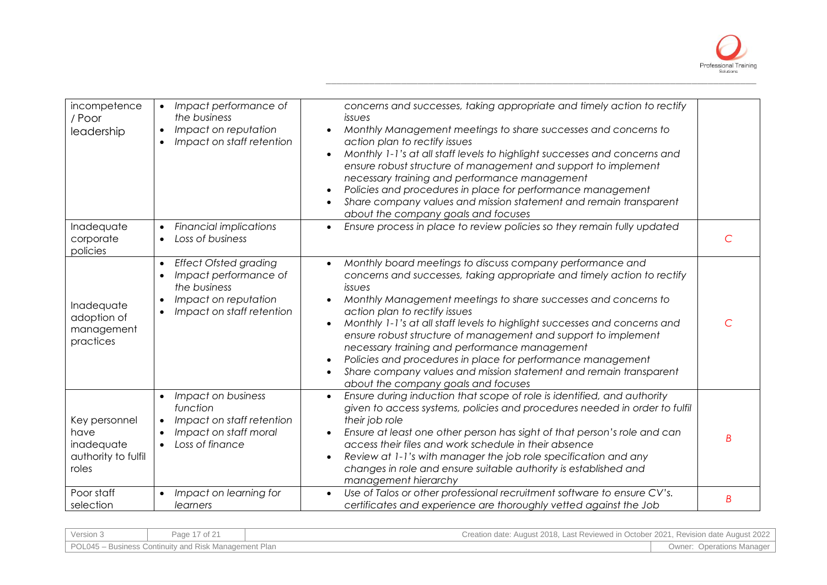

| incompetence<br>/ Poor<br>leadership                                | Impact performance of<br>$\bullet$<br>the business<br>Impact on reputation<br>$\bullet$<br>Impact on staff retention<br>$\bullet$                                              | concerns and successes, taking appropriate and timely action to rectify<br>issues<br>Monthly Management meetings to share successes and concerns to<br>$\bullet$<br>action plan to rectify issues<br>Monthly 1-1's at all staff levels to highlight successes and concerns and<br>ensure robust structure of management and support to implement<br>necessary training and performance management<br>Policies and procedures in place for performance management<br>$\bullet$<br>Share company values and mission statement and remain transparent<br>$\bullet$<br>about the company goals and focuses                                                                           |           |
|---------------------------------------------------------------------|--------------------------------------------------------------------------------------------------------------------------------------------------------------------------------|----------------------------------------------------------------------------------------------------------------------------------------------------------------------------------------------------------------------------------------------------------------------------------------------------------------------------------------------------------------------------------------------------------------------------------------------------------------------------------------------------------------------------------------------------------------------------------------------------------------------------------------------------------------------------------|-----------|
| Inadequate<br>corporate<br>policies                                 | <b>Financial implications</b><br>$\bullet$<br>Loss of business<br>$\bullet$                                                                                                    | Ensure process in place to review policies so they remain fully updated<br>$\bullet$                                                                                                                                                                                                                                                                                                                                                                                                                                                                                                                                                                                             | C         |
| Inadequate<br>adoption of<br>management<br>practices                | <b>Effect Ofsted grading</b><br>$\bullet$<br>Impact performance of<br>$\bullet$<br>the business<br>Impact on reputation<br>$\bullet$<br>Impact on staff retention<br>$\bullet$ | Monthly board meetings to discuss company performance and<br>$\bullet$<br>concerns and successes, taking appropriate and timely action to rectify<br>issues<br>Monthly Management meetings to share successes and concerns to<br>action plan to rectify issues<br>Monthly 1-1's at all staff levels to highlight successes and concerns and<br>$\bullet$<br>ensure robust structure of management and support to implement<br>necessary training and performance management<br>Policies and procedures in place for performance management<br>$\bullet$<br>Share company values and mission statement and remain transparent<br>$\bullet$<br>about the company goals and focuses | $\subset$ |
| Key personnel<br>have<br>inadequate<br>authority to fulfil<br>roles | Impact on business<br>function<br>Impact on staff retention<br>$\bullet$<br>Impact on staff moral<br>$\bullet$<br>Loss of finance<br>$\bullet$                                 | Ensure during induction that scope of role is identified, and authority<br>given to access systems, policies and procedures needed in order to fulfil<br>their job role<br>Ensure at least one other person has sight of that person's role and can<br>access their files and work schedule in their absence<br>Review at 1-1's with manager the job role specification and any<br>changes in role and ensure suitable authority is established and<br>management hierarchy                                                                                                                                                                                                      | B         |
| Poor staff<br>selection                                             | Impact on learning for<br>$\bullet$<br>learners                                                                                                                                | Use of Talos or other professional recruitment software to ensure CV's.<br>$\bullet$<br>certificates and experience are thoroughly vetted against the Job                                                                                                                                                                                                                                                                                                                                                                                                                                                                                                                        | Β         |

| Version 3                                             | Page 17 of 21 | Creation date: August 2018, Last Reviewed in October 2021, Revision date August 2022 |  |
|-------------------------------------------------------|---------------|--------------------------------------------------------------------------------------|--|
| POL045 – Business Continuity and Risk Management Plan |               | <b>Owner: Operations Manager</b>                                                     |  |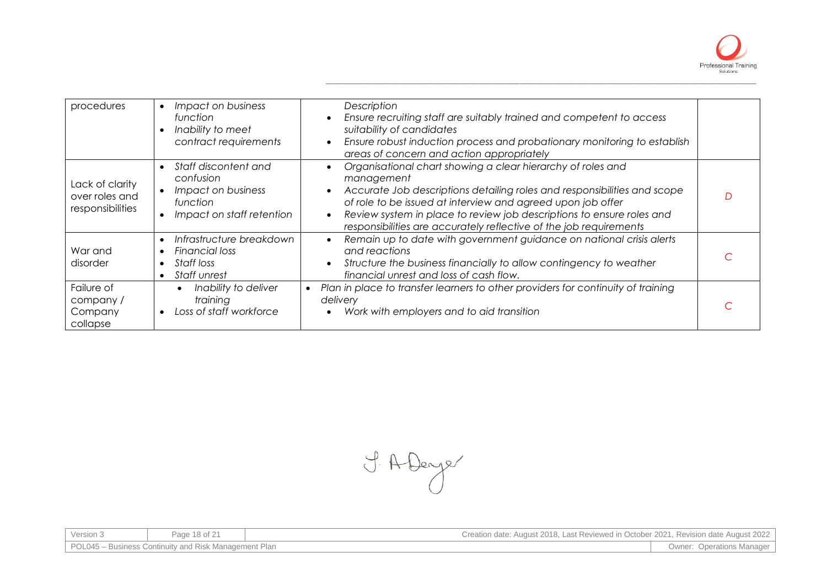

| procedures                                            | Impact on business<br>$\bullet$<br>function<br>Inability to meet<br>contract requirements                                               | Description<br>Ensure recruiting staff are suitably trained and competent to access<br>$\bullet$<br>suitability of candidates<br>Ensure robust induction process and probationary monitoring to establish<br>$\bullet$<br>areas of concern and action appropriately                                                                                                                           |  |
|-------------------------------------------------------|-----------------------------------------------------------------------------------------------------------------------------------------|-----------------------------------------------------------------------------------------------------------------------------------------------------------------------------------------------------------------------------------------------------------------------------------------------------------------------------------------------------------------------------------------------|--|
| Lack of clarity<br>over roles and<br>responsibilities | Staff discontent and<br>$\bullet$<br>confusion<br>Impact on business<br>$\bullet$<br>function<br>Impact on staff retention<br>$\bullet$ | Organisational chart showing a clear hierarchy of roles and<br>management<br>Accurate Job descriptions detailing roles and responsibilities and scope<br>$\bullet$<br>of role to be issued at interview and agreed upon job offer<br>Review system in place to review job descriptions to ensure roles and<br>$\bullet$<br>responsibilities are accurately reflective of the job requirements |  |
| War and<br>disorder                                   | Infrastructure breakdown<br>$\bullet$<br>Financial loss<br>Staff loss<br>$\bullet$<br><b>Staff unrest</b>                               | Remain up to date with government guidance on national crisis alerts<br>$\bullet$<br>and reactions<br>Structure the business financially to allow contingency to weather<br>$\bullet$<br>financial unrest and loss of cash flow.                                                                                                                                                              |  |
| Failure of<br>company/<br>Company<br>collapse         | Inability to deliver<br>$\bullet$<br>training<br>Loss of staff workforce                                                                | Plan in place to transfer learners to other providers for continuity of training<br>delivery<br>Work with employers and to aid transition                                                                                                                                                                                                                                                     |  |

I. A Denjer

| Version 3                                             | Page 18 of 21 | Creation date: August 2018, Last Reviewed in October 2021, Revision date August 2022 |                                  |
|-------------------------------------------------------|---------------|--------------------------------------------------------------------------------------|----------------------------------|
| POL045 – Business Continuity and Risk Management Plan |               |                                                                                      | <b>Owner: Operations Manager</b> |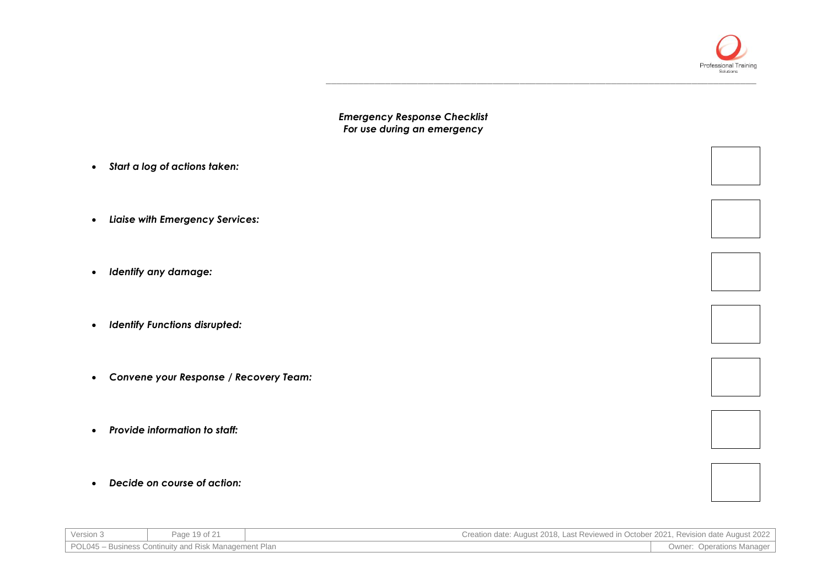

*Emergency Response Checklist For use during an emergency*

\_\_\_\_\_\_\_\_\_\_\_\_\_\_\_\_\_\_\_\_\_\_\_\_\_\_\_\_\_\_\_\_\_\_\_\_\_\_\_\_\_\_\_\_\_\_\_\_\_\_\_\_\_\_\_\_\_\_\_\_\_\_\_\_\_\_\_\_\_\_\_\_\_\_\_\_\_\_\_\_

- *Start a log of actions taken:*
- *Liaise with Emergency Services:*
- *Identify any damage:*
- *Identify Functions disrupted:*
- *Convene your Response / Recovery Team:*
- *Provide information to staff:*
- *Decide on course of action:*

| Version 3                                             | Page 19 of 21 | Creation date: August 2018. Last Reviewed in October 2021. Revision date August 2022 |                                  |
|-------------------------------------------------------|---------------|--------------------------------------------------------------------------------------|----------------------------------|
| POL045 – Business Continuity and Risk Management Plan |               |                                                                                      | <b>Owner: Operations Manager</b> |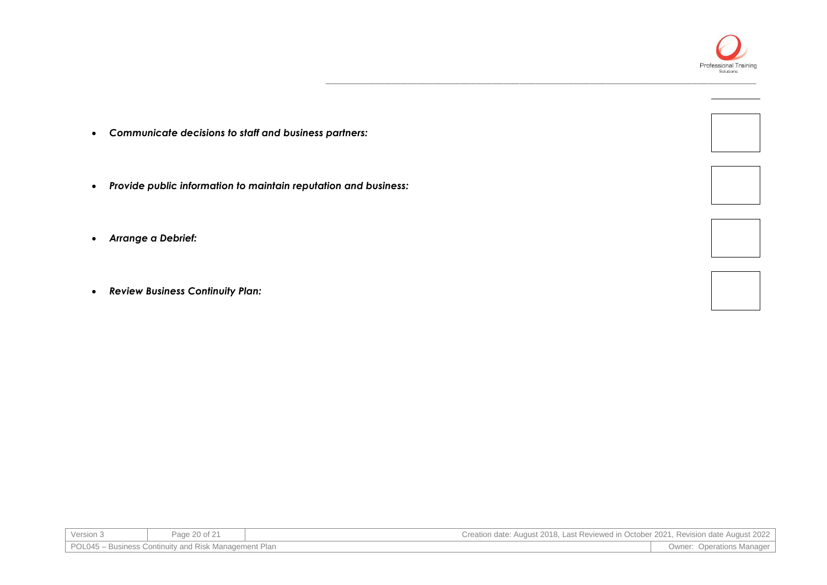

\_\_\_\_\_\_\_\_\_\_\_\_\_\_\_\_\_\_\_\_\_\_\_\_\_\_\_\_\_\_\_\_\_\_\_\_\_\_\_\_\_\_\_\_\_\_\_\_\_\_\_\_\_\_\_\_\_\_\_\_\_\_\_\_\_\_\_\_\_\_\_\_\_\_\_\_\_\_\_\_

- *Communicate decisions to staff and business partners:*
- *Provide public information to maintain reputation and business:*
- *Arrange a Debrief:*
- *Review Business Continuity Plan:*

| Version 3                                             | Page 20 of 21 | Creation date: August 2018, Last Reviewed in October 2021, Revision date August 2022 |                                  |
|-------------------------------------------------------|---------------|--------------------------------------------------------------------------------------|----------------------------------|
| POL045 – Business Continuity and Risk Management Plan |               |                                                                                      | <b>Owner: Operations Manager</b> |